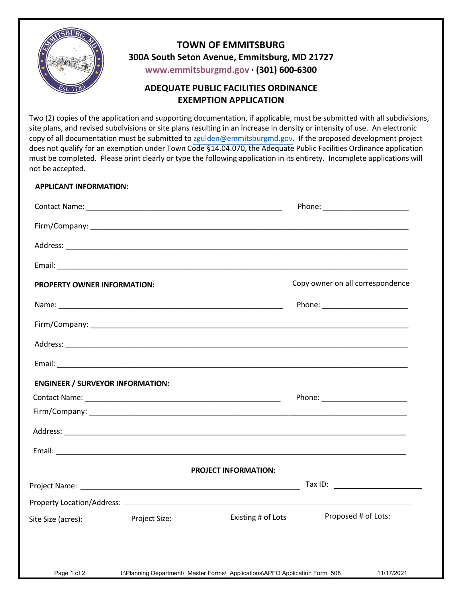

## **300A South Seton Avenue, Emmitsburg, MD 21727 TOWN OF EMMITSBURG <www.emmitsburgmd.gov> · (301) 600-6300**

## **ADEQUATE PUBLIC FACILITIES ORDINANCE EXEMPTION APPLICATION**

 Two (2) copies of the application and supporting documentation, if applicable, must be submitted with all subdivisions, site plans, and revised subdivisions or site plans resulting in an increase in density or intensity of use. An electronic copy of all documentation must be submitted to [zgulden@emmitsburgmd.gov.](mailto:zgulden@emmitsburgmd.gov) If the proposed development project does not qualify for an exemption under Town Code §14.04.070, the Adequate Public Facilities Ordinance application must be completed. Please print clearly or type the following application in its entirety. Incomplete applications will not be accepted.

## **APPLICANT INFORMATION:**

| <b>PROPERTY OWNER INFORMATION:</b>      | Copy owner on all correspondence                                                           |
|-----------------------------------------|--------------------------------------------------------------------------------------------|
|                                         | Phone: _________________________                                                           |
|                                         |                                                                                            |
|                                         |                                                                                            |
|                                         |                                                                                            |
| <b>ENGINEER / SURVEYOR INFORMATION:</b> |                                                                                            |
|                                         |                                                                                            |
|                                         |                                                                                            |
|                                         |                                                                                            |
|                                         |                                                                                            |
|                                         | PROJECT INFORMATION:                                                                       |
|                                         |                                                                                            |
|                                         |                                                                                            |
| Site Size (acres): Project Size:        | Proposed # of Lots:<br>Existing # of Lots                                                  |
| Page 1 of 2                             | I:\Planning Department\ Master Forms\ Applications\APFO Application Form 508<br>11/17/2021 |